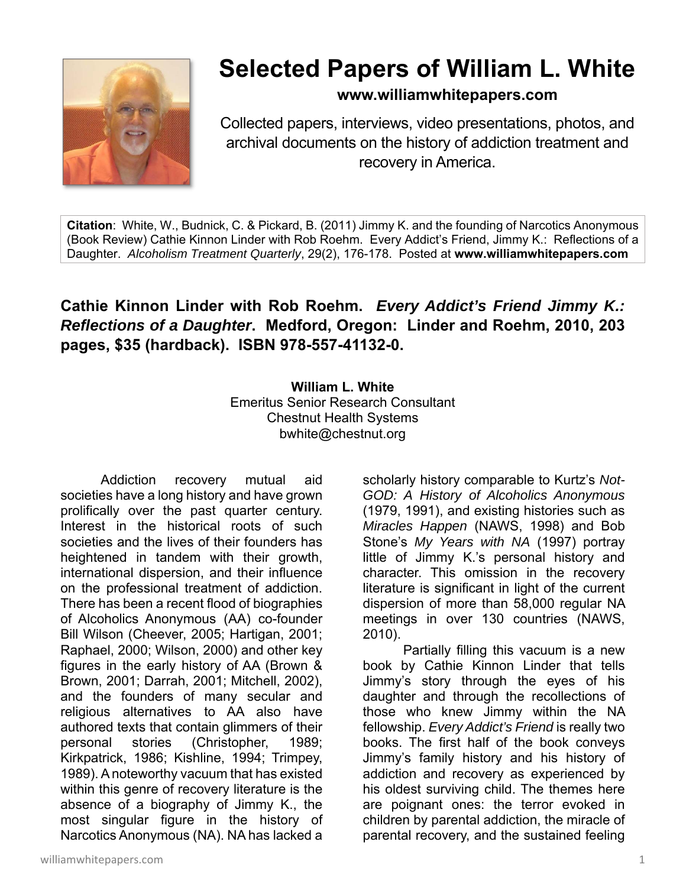

## **Selected Papers of William L. White**

**www.williamwhitepapers.com**

Collected papers, interviews, video presentations, photos, and archival documents on the history of addiction treatment and recovery in America.

**Citation**: White, W., Budnick, C. & Pickard, B. (2011) Jimmy K. and the founding of Narcotics Anonymous (Book Review) Cathie Kinnon Linder with Rob Roehm. Every Addict's Friend, Jimmy K.: Reflections of a Daughter. *Alcoholism Treatment Quarterly*, 29(2), 176-178. Posted at **www.williamwhitepapers.com** 

## **Cathie Kinnon Linder with Rob Roehm.** *Every Addict's Friend Jimmy K.: Reflections of a Daughter***. Medford, Oregon: Linder and Roehm, 2010, 203 pages, \$35 (hardback). ISBN 978-557-41132-0.**

**William L. White**  Emeritus Senior Research Consultant Chestnut Health Systems bwhite@chestnut.org

Addiction recovery mutual aid societies have a long history and have grown prolifically over the past quarter century. Interest in the historical roots of such societies and the lives of their founders has heightened in tandem with their growth, international dispersion, and their influence on the professional treatment of addiction. There has been a recent flood of biographies of Alcoholics Anonymous (AA) co-founder Bill Wilson (Cheever, 2005; Hartigan, 2001; Raphael, 2000; Wilson, 2000) and other key figures in the early history of AA (Brown & Brown, 2001; Darrah, 2001; Mitchell, 2002), and the founders of many secular and religious alternatives to AA also have authored texts that contain glimmers of their personal stories (Christopher, 1989; Kirkpatrick, 1986; Kishline, 1994; Trimpey, 1989). A noteworthy vacuum that has existed within this genre of recovery literature is the absence of a biography of Jimmy K., the most singular figure in the history of Narcotics Anonymous (NA). NA has lacked a

*GOD: A History of Alcoholics Anonymous* (1979, 1991), and existing histories such as *Miracles Happen* (NAWS, 1998) and Bob Stone's *My Years with NA* (1997) portray little of Jimmy K.'s personal history and character. This omission in the recovery literature is significant in light of the current dispersion of more than 58,000 regular NA meetings in over 130 countries (NAWS, 2010). Partially filling this vacuum is a new

scholarly history comparable to Kurtz's *Not-*

book by Cathie Kinnon Linder that tells Jimmy's story through the eyes of his daughter and through the recollections of those who knew Jimmy within the NA fellowship. *Every Addict's Friend* is really two books. The first half of the book conveys Jimmy's family history and his history of addiction and recovery as experienced by his oldest surviving child. The themes here are poignant ones: the terror evoked in children by parental addiction, the miracle of parental recovery, and the sustained feeling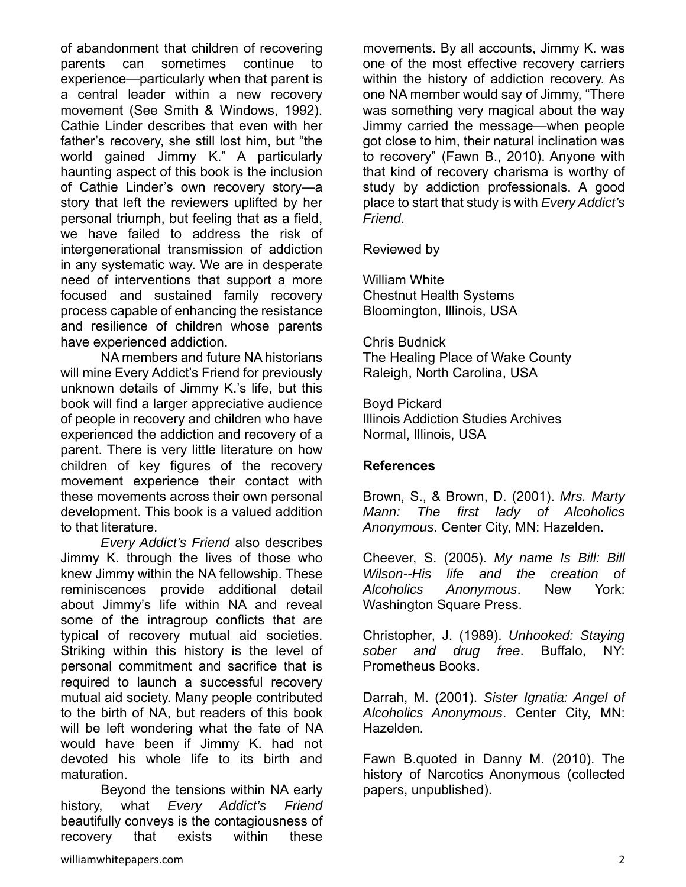of abandonment that children of recovering parents can sometimes continue to experience—particularly when that parent is a central leader within a new recovery movement (See Smith & Windows, 1992). Cathie Linder describes that even with her father's recovery, she still lost him, but "the world gained Jimmy K." A particularly haunting aspect of this book is the inclusion of Cathie Linder's own recovery story—a story that left the reviewers uplifted by her personal triumph, but feeling that as a field, we have failed to address the risk of intergenerational transmission of addiction in any systematic way. We are in desperate need of interventions that support a more focused and sustained family recovery process capable of enhancing the resistance and resilience of children whose parents have experienced addiction.

 NA members and future NA historians will mine Every Addict's Friend for previously unknown details of Jimmy K.'s life, but this book will find a larger appreciative audience of people in recovery and children who have experienced the addiction and recovery of a parent. There is very little literature on how children of key figures of the recovery movement experience their contact with these movements across their own personal development. This book is a valued addition to that literature.

*Every Addict's Friend* also describes Jimmy K. through the lives of those who knew Jimmy within the NA fellowship. These reminiscences provide additional detail about Jimmy's life within NA and reveal some of the intragroup conflicts that are typical of recovery mutual aid societies. Striking within this history is the level of personal commitment and sacrifice that is required to launch a successful recovery mutual aid society. Many people contributed to the birth of NA, but readers of this book will be left wondering what the fate of NA would have been if Jimmy K. had not devoted his whole life to its birth and maturation.

 Beyond the tensions within NA early history, what *Every Addict's Friend* beautifully conveys is the contagiousness of recovery that exists within these

movements. By all accounts, Jimmy K. was one of the most effective recovery carriers within the history of addiction recovery. As one NA member would say of Jimmy, "There was something very magical about the way Jimmy carried the message—when people got close to him, their natural inclination was to recovery" (Fawn B., 2010). Anyone with that kind of recovery charisma is worthy of study by addiction professionals. A good place to start that study is with *Every Addict's Friend*.

Reviewed by

William White Chestnut Health Systems Bloomington, Illinois, USA

Chris Budnick The Healing Place of Wake County Raleigh, North Carolina, USA

Boyd Pickard Illinois Addiction Studies Archives Normal, Illinois, USA

## **References**

Brown, S., & Brown, D. (2001). *Mrs. Marty Mann: The first lady of Alcoholics Anonymous*. Center City, MN: Hazelden.

Cheever, S. (2005). *My name Is Bill: Bill Wilson--His life and the creation of Alcoholics Anonymous*. New York: Washington Square Press.

Christopher, J. (1989). *Unhooked: Staying sober and drug free*. Buffalo, NY: Prometheus Books.

Darrah, M. (2001). *Sister Ignatia: Angel of Alcoholics Anonymous*. Center City, MN: Hazelden.

Fawn B.quoted in Danny M. (2010). The history of Narcotics Anonymous (collected papers, unpublished).